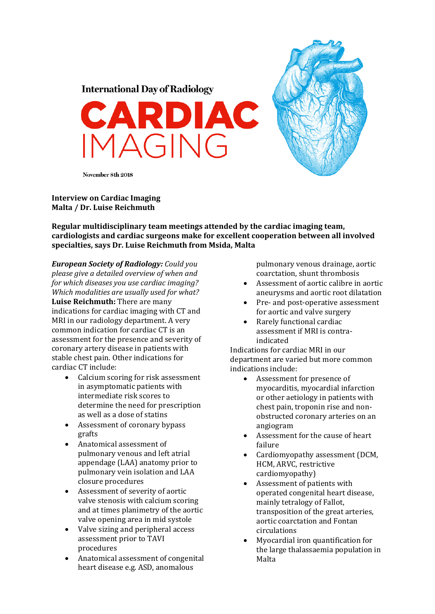





November 8th 2018

## **Interview on Cardiac Imaging Malta / Dr. Luise Reichmuth**

**Regular multidisciplinary team meetings attended by the cardiac imaging team, cardiologists and cardiac surgeons make for excellent cooperation between all involved specialties, says Dr. Luise Reichmuth from Msida, Malta**

*European Society of Radiology: Could you please give a detailed overview of when and for which diseases you use cardiac imaging? Which modalities are usually used for what?* **Luise Reichmuth:** There are many indications for cardiac imaging with CT and MRI in our radiology department. A very common indication for cardiac CT is an assessment for the presence and severity of coronary artery disease in patients with stable chest pain. Other indications for cardiac CT include:

- Calcium scoring for risk assessment in asymptomatic patients with intermediate risk scores to determine the need for prescription as well as a dose of statins
- Assessment of coronary bypass grafts
- Anatomical assessment of pulmonary venous and left atrial appendage (LAA) anatomy prior to pulmonary vein isolation and LAA closure procedures
- Assessment of severity of aortic valve stenosis with calcium scoring and at times planimetry of the aortic valve opening area in mid systole
- $\bullet$  Valve sizing and peripheral access assessment prior to TAVI procedures
- Anatomical assessment of congenital heart disease e.g. ASD, anomalous

pulmonary venous drainage, aortic coarctation, shunt thrombosis

- Assessment of aortic calibre in aortic aneurysms and aortic root dilatation
- Pre- and post-operative assessment for aortic and valve surgery
- Rarely functional cardiac assessment if MRI is contraindicated

Indications for cardiac MRI in our department are varied but more common indications include:

- Assessment for presence of myocarditis, myocardial infarction or other aetiology in patients with chest pain, troponin rise and nonobstructed coronary arteries on an angiogram
- Assessment for the cause of heart failure
- Cardiomyopathy assessment (DCM, HCM, ARVC, restrictive cardiomyopathy)
- Assessment of patients with operated congenital heart disease, mainly tetralogy of Fallot, transposition of the great arteries. aortic coarctation and Fontan circulations
- Myocardial iron quantification for the large thalassaemia population in Malta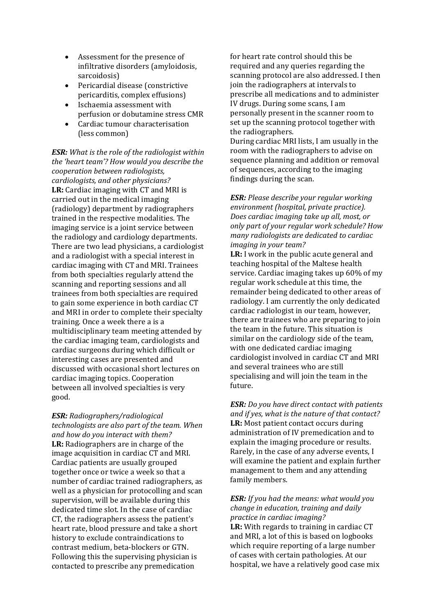- Assessment for the presence of infiltrative disorders (amyloidosis, sarcoidosis)
- Pericardial disease (constrictive pericarditis, complex effusions)
- Ischaemia assessment with perfusion or dobutamine stress CMR
- Cardiac tumour characterisation (less common)

*ESR: What is the role of the radiologist within the 'heart team'? How would you describe the cooperation between radiologists, cardiologists, and other physicians?* **LR:** Cardiac imaging with CT and MRI is carried out in the medical imaging (radiology) department by radiographers trained in the respective modalities. The imaging service is a joint service between the radiology and cardiology departments. There are two lead physicians, a cardiologist and a radiologist with a special interest in cardiac imaging with CT and MRI. Trainees from both specialties regularly attend the scanning and reporting sessions and all trainees from both specialties are required to gain some experience in both cardiac CT and MRI in order to complete their specialty training. Once a week there a is a multidisciplinary team meeting attended by the cardiac imaging team, cardiologists and cardiac surgeons during which difficult or interesting cases are presented and discussed with occasional short lectures on cardiac imaging topics. Cooperation between all involved specialties is very good. 

*ESR: Radiographers/radiological technologists are also part of the team. When and how do you interact with them?* **LR:** Radiographers are in charge of the image acquisition in cardiac CT and MRI. Cardiac patients are usually grouped together once or twice a week so that a number of cardiac trained radiographers, as well as a physician for protocolling and scan supervision, will be available during this dedicated time slot. In the case of cardiac CT, the radiographers assess the patient's heart rate, blood pressure and take a short history to exclude contraindications to contrast medium, beta-blockers or GTN. Following this the supervising physician is contacted to prescribe any premedication

for heart rate control should this be required and any queries regarding the scanning protocol are also addressed. I then join the radiographers at intervals to prescribe all medications and to administer IV drugs. During some scans, I am personally present in the scanner room to set up the scanning protocol together with the radiographers. During cardiac MRI lists, I am usually in the room with the radiographers to advise on sequence planning and addition or removal of sequences, according to the imaging findings during the scan.

*ESR: Please describe your regular working environment (hospital, private practice). Does cardiac imaging take up all, most, or only part of your regular work schedule? How many radiologists are dedicated to cardiac imaging in your team?*

**LR:** I work in the public acute general and teaching hospital of the Maltese health service. Cardiac imaging takes up 60% of my regular work schedule at this time, the remainder being dedicated to other areas of radiology. I am currently the only dedicated cardiac radiologist in our team, however, there are trainees who are preparing to join the team in the future. This situation is similar on the cardiology side of the team, with one dedicated cardiac imaging cardiologist involved in cardiac CT and MRI and several trainees who are still specialising and will join the team in the future. 

*ESR: Do you have direct contact with patients and if yes, what is the nature of that contact?* **LR:** Most patient contact occurs during administration of IV premedication and to explain the imaging procedure or results. Rarely, in the case of any adverse events, I will examine the patient and explain further management to them and any attending family members.

## *ESR: If you had the means: what would you change in education, training and daily practice in cardiac imaging?*

LR: With regards to training in cardiac CT and MRI, a lot of this is based on logbooks which require reporting of a large number of cases with certain pathologies. At our hospital, we have a relatively good case mix